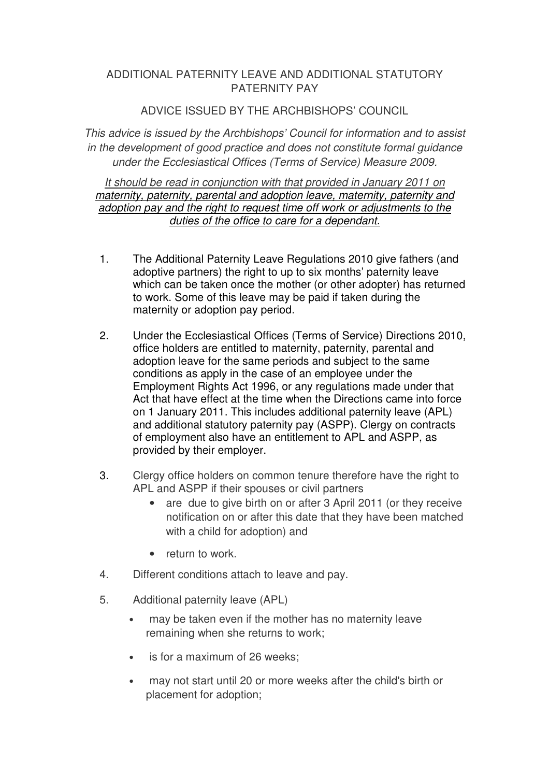## ADDITIONAL PATERNITY LEAVE AND ADDITIONAL STATUTORY PATERNITY PAY

## ADVICE ISSUED BY THE ARCHBISHOPS' COUNCIL

This advice is issued by the Archbishops' Council for information and to assist in the development of good practice and does not constitute formal guidance under the Ecclesiastical Offices (Terms of Service) Measure 2009.

It should be read in conjunction with that provided in January 2011 on maternity, paternity, parental and adoption leave, maternity, paternity and adoption pay and the right to request time off work or adjustments to the duties of the office to care for a dependant.

- 1. The Additional Paternity Leave Regulations 2010 give fathers (and adoptive partners) the right to up to six months' paternity leave which can be taken once the mother (or other adopter) has returned to work. Some of this leave may be paid if taken during the maternity or adoption pay period.
- 2. Under the Ecclesiastical Offices (Terms of Service) Directions 2010, office holders are entitled to maternity, paternity, parental and adoption leave for the same periods and subject to the same conditions as apply in the case of an employee under the Employment Rights Act 1996, or any regulations made under that Act that have effect at the time when the Directions came into force on 1 January 2011. This includes additional paternity leave (APL) and additional statutory paternity pay (ASPP). Clergy on contracts of employment also have an entitlement to APL and ASPP, as provided by their employer.
- 3. Clergy office holders on common tenure therefore have the right to APL and ASPP if their spouses or civil partners
	- are due to give birth on or after 3 April 2011 (or they receive notification on or after this date that they have been matched with a child for adoption) and
	- return to work.
- 4. Different conditions attach to leave and pay.
- 5. Additional paternity leave (APL)
	- may be taken even if the mother has no maternity leave remaining when she returns to work;
	- is for a maximum of 26 weeks;
	- may not start until 20 or more weeks after the child's birth or placement for adoption;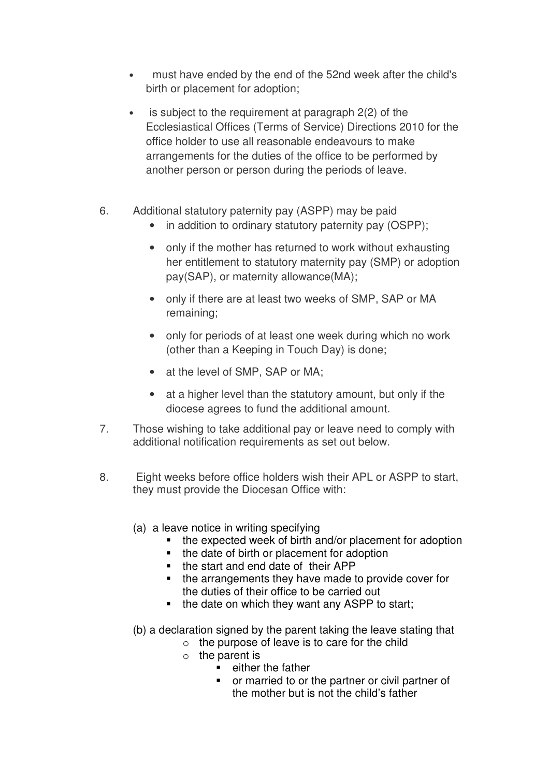- must have ended by the end of the 52nd week after the child's birth or placement for adoption;
- is subject to the requirement at paragraph 2(2) of the Ecclesiastical Offices (Terms of Service) Directions 2010 for the office holder to use all reasonable endeavours to make arrangements for the duties of the office to be performed by another person or person during the periods of leave.
- 6. Additional statutory paternity pay (ASPP) may be paid
	- in addition to ordinary statutory paternity pay (OSPP);
	- only if the mother has returned to work without exhausting her entitlement to statutory maternity pay (SMP) or adoption pay(SAP), or maternity allowance(MA);
	- only if there are at least two weeks of SMP, SAP or MA remaining;
	- only for periods of at least one week during which no work (other than a Keeping in Touch Day) is done;
	- at the level of SMP, SAP or MA;
	- at a higher level than the statutory amount, but only if the diocese agrees to fund the additional amount.
- 7. Those wishing to take additional pay or leave need to comply with additional notification requirements as set out below.
- 8. Eight weeks before office holders wish their APL or ASPP to start, they must provide the Diocesan Office with:
	- (a) a leave notice in writing specifying
		- the expected week of birth and/or placement for adoption
		- the date of birth or placement for adoption
		- the start and end date of their APP
		- the arrangements they have made to provide cover for the duties of their office to be carried out
		- $\blacksquare$  the date on which they want any ASPP to start;
	- (b) a declaration signed by the parent taking the leave stating that
		- o the purpose of leave is to care for the child
			- $\circ$  the parent is
				- $\blacksquare$  either the father
				- or married to or the partner or civil partner of the mother but is not the child's father